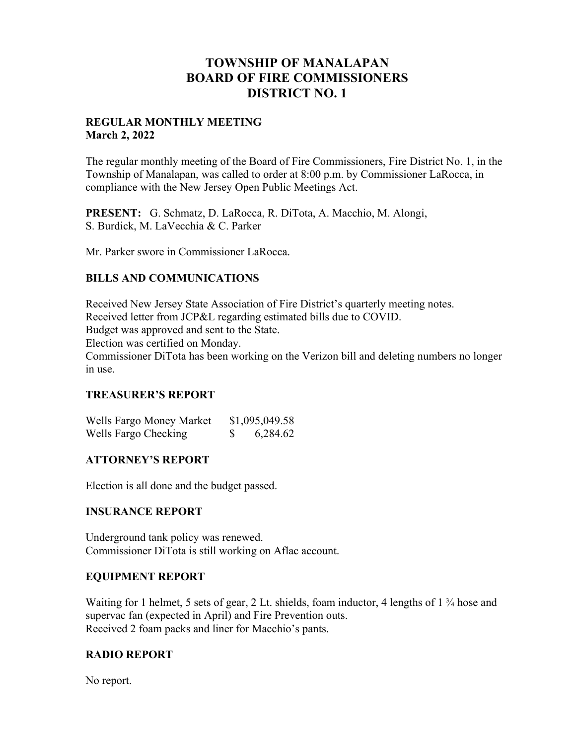## **TOWNSHIP OF MANALAPAN BOARD OF FIRE COMMISSIONERS DISTRICT NO. 1**

#### **REGULAR MONTHLY MEETING March 2, 2022**

The regular monthly meeting of the Board of Fire Commissioners, Fire District No. 1, in the Township of Manalapan, was called to order at 8:00 p.m. by Commissioner LaRocca, in compliance with the New Jersey Open Public Meetings Act.

**PRESENT:** G. Schmatz, D. LaRocca, R. DiTota, A. Macchio, M. Alongi, S. Burdick, M. LaVecchia & C. Parker

Mr. Parker swore in Commissioner LaRocca.

#### **BILLS AND COMMUNICATIONS**

Received New Jersey State Association of Fire District's quarterly meeting notes. Received letter from JCP&L regarding estimated bills due to COVID.

Budget was approved and sent to the State.

Election was certified on Monday.

Commissioner DiTota has been working on the Verizon bill and deleting numbers no longer in use.

## **TREASURER'S REPORT**

| Wells Fargo Money Market | \$1,095,049.58 |
|--------------------------|----------------|
| Wells Fargo Checking     | 6,284.62       |

#### **ATTORNEY'S REPORT**

Election is all done and the budget passed.

#### **INSURANCE REPORT**

Underground tank policy was renewed. Commissioner DiTota is still working on Aflac account.

#### **EQUIPMENT REPORT**

Waiting for 1 helmet, 5 sets of gear, 2 Lt. shields, foam inductor, 4 lengths of  $1\frac{3}{4}$  hose and supervac fan (expected in April) and Fire Prevention outs. Received 2 foam packs and liner for Macchio's pants.

## **RADIO REPORT**

No report.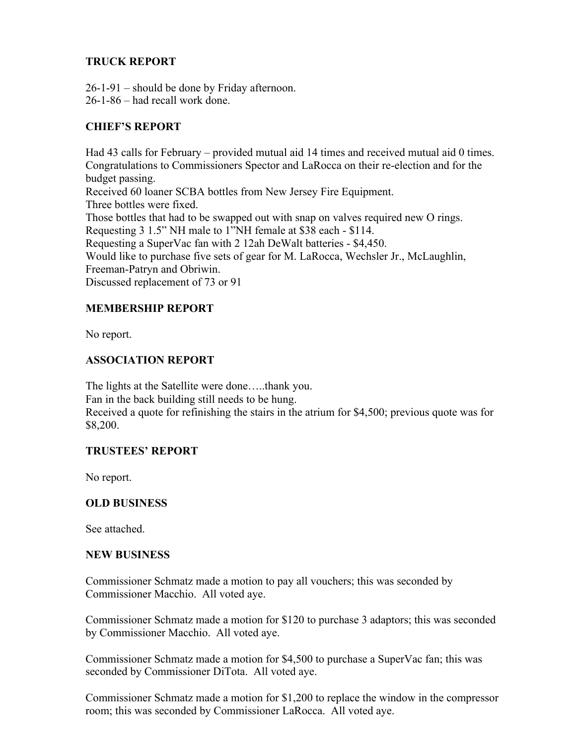## **TRUCK REPORT**

26-1-91 – should be done by Friday afternoon. 26-1-86 – had recall work done.

## **CHIEF'S REPORT**

Had 43 calls for February – provided mutual aid 14 times and received mutual aid 0 times. Congratulations to Commissioners Spector and LaRocca on their re-election and for the budget passing. Received 60 loaner SCBA bottles from New Jersey Fire Equipment. Three bottles were fixed. Those bottles that had to be swapped out with snap on valves required new O rings. Requesting 3 1.5" NH male to 1"NH female at \$38 each - \$114. Requesting a SuperVac fan with 2 12ah DeWalt batteries - \$4,450. Would like to purchase five sets of gear for M. LaRocca, Wechsler Jr., McLaughlin, Freeman-Patryn and Obriwin. Discussed replacement of 73 or 91

## **MEMBERSHIP REPORT**

No report.

## **ASSOCIATION REPORT**

The lights at the Satellite were done…..thank you. Fan in the back building still needs to be hung. Received a quote for refinishing the stairs in the atrium for \$4,500; previous quote was for \$8,200.

## **TRUSTEES' REPORT**

No report.

## **OLD BUSINESS**

See attached.

#### **NEW BUSINESS**

Commissioner Schmatz made a motion to pay all vouchers; this was seconded by Commissioner Macchio. All voted aye.

Commissioner Schmatz made a motion for \$120 to purchase 3 adaptors; this was seconded by Commissioner Macchio. All voted aye.

Commissioner Schmatz made a motion for \$4,500 to purchase a SuperVac fan; this was seconded by Commissioner DiTota. All voted aye.

Commissioner Schmatz made a motion for \$1,200 to replace the window in the compressor room; this was seconded by Commissioner LaRocca. All voted aye.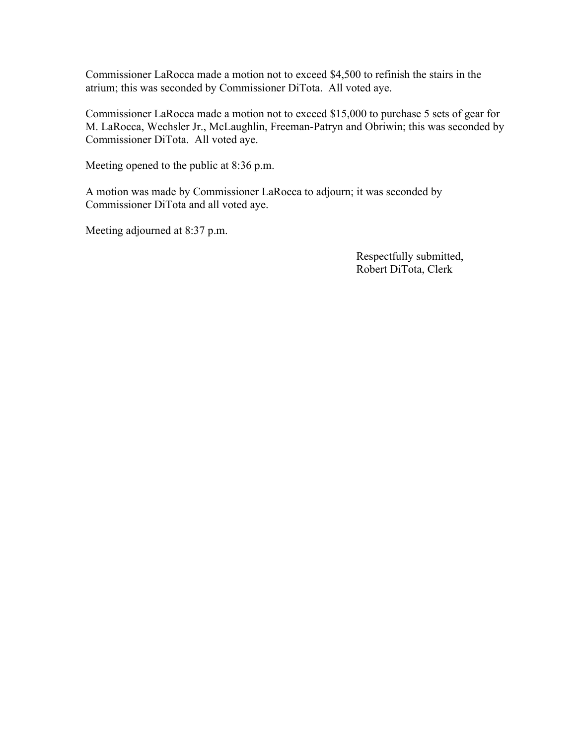Commissioner LaRocca made a motion not to exceed \$4,500 to refinish the stairs in the atrium; this was seconded by Commissioner DiTota. All voted aye.

Commissioner LaRocca made a motion not to exceed \$15,000 to purchase 5 sets of gear for M. LaRocca, Wechsler Jr., McLaughlin, Freeman-Patryn and Obriwin; this was seconded by Commissioner DiTota. All voted aye.

Meeting opened to the public at 8:36 p.m.

A motion was made by Commissioner LaRocca to adjourn; it was seconded by Commissioner DiTota and all voted aye.

Meeting adjourned at 8:37 p.m.

 Respectfully submitted, Robert DiTota, Clerk